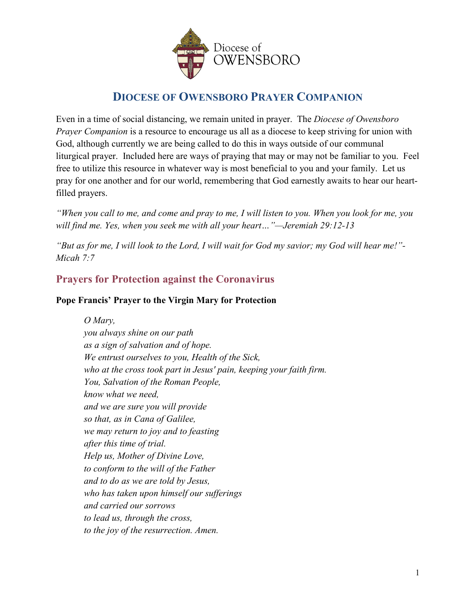

# **DIOCESE OF OWENSBORO PRAYER COMPANION**

Even in a time of social distancing, we remain united in prayer. The *Diocese of Owensboro Prayer Companion* is a resource to encourage us all as a diocese to keep striving for union with God, although currently we are being called to do this in ways outside of our communal liturgical prayer. Included here are ways of praying that may or may not be familiar to you. Feel free to utilize this resource in whatever way is most beneficial to you and your family. Let us pray for one another and for our world, remembering that God earnestly awaits to hear our heartfilled prayers.

*"When you call to me, and come and pray to me, I will listen to you. When you look for me, you will find me. Yes, when you seek me with all your heart…"—Jeremiah 29:12-13*

*"But as for me, I will look to the Lord, I will wait for God my savior; my God will hear me!"- Micah 7:7*

### **Prayers for Protection against the Coronavirus**

#### **Pope Francis' Prayer to the Virgin Mary for Protection**

*O Mary, you always shine on our path as a sign of salvation and of hope. We entrust ourselves to you, Health of the Sick, who at the cross took part in Jesus' pain, keeping your faith firm. You, Salvation of the Roman People, know what we need, and we are sure you will provide so that, as in Cana of Galilee, we may return to joy and to feasting after this time of trial. Help us, Mother of Divine Love, to conform to the will of the Father and to do as we are told by Jesus, who has taken upon himself our sufferings and carried our sorrows to lead us, through the cross, to the joy of the resurrection. Amen.*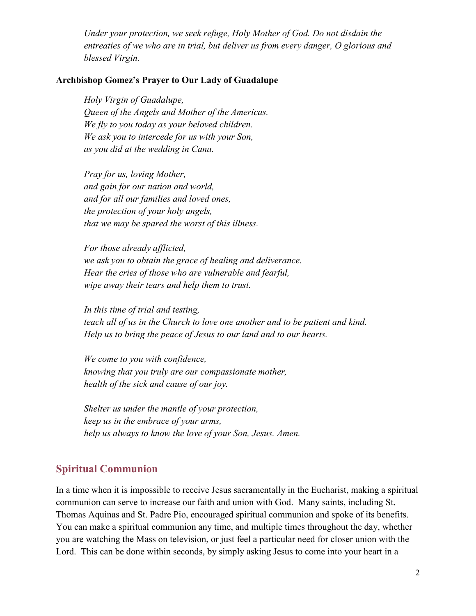*Under your protection, we seek refuge, Holy Mother of God. Do not disdain the entreaties of we who are in trial, but deliver us from every danger, O glorious and blessed Virgin.*

#### **Archbishop Gomez's Prayer to Our Lady of Guadalupe**

*Holy Virgin of Guadalupe, Queen of the Angels and Mother of the Americas. We fly to you today as your beloved children. We ask you to intercede for us with your Son, as you did at the wedding in Cana.*

*Pray for us, loving Mother, and gain for our nation and world, and for all our families and loved ones, the protection of your holy angels, that we may be spared the worst of this illness.*

*For those already afflicted, we ask you to obtain the grace of healing and deliverance. Hear the cries of those who are vulnerable and fearful, wipe away their tears and help them to trust.*

*In this time of trial and testing, teach all of us in the Church to love one another and to be patient and kind. Help us to bring the peace of Jesus to our land and to our hearts.*

*We come to you with confidence, knowing that you truly are our compassionate mother, health of the sick and cause of our joy.*

*Shelter us under the mantle of your protection, keep us in the embrace of your arms, help us always to know the love of your Son, Jesus. Amen.*

#### **Spiritual Communion**

In a time when it is impossible to receive Jesus sacramentally in the Eucharist, making a spiritual communion can serve to increase our faith and union with God. Many saints, including St. Thomas Aquinas and St. Padre Pio, encouraged spiritual communion and spoke of its benefits. You can make a spiritual communion any time, and multiple times throughout the day, whether you are watching the Mass on television, or just feel a particular need for closer union with the Lord. This can be done within seconds, by simply asking Jesus to come into your heart in a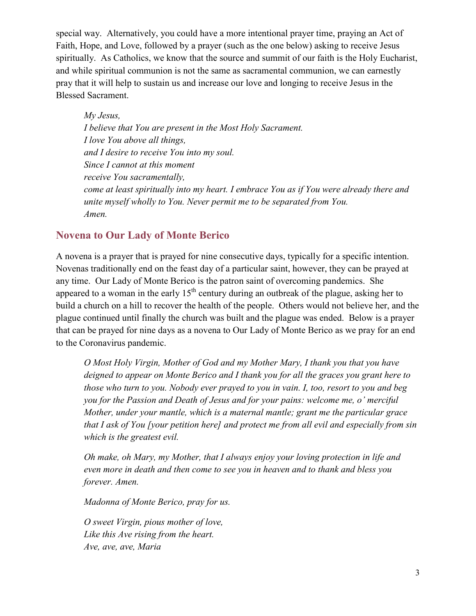special way. Alternatively, you could have a more intentional prayer time, praying an Act of Faith, Hope, and Love, followed by a prayer (such as the one below) asking to receive Jesus spiritually. As Catholics, we know that the source and summit of our faith is the Holy Eucharist, and while spiritual communion is not the same as sacramental communion, we can earnestly pray that it will help to sustain us and increase our love and longing to receive Jesus in the Blessed Sacrament.

*My Jesus, I believe that You are present in the Most Holy Sacrament. I love You above all things, and I desire to receive You into my soul. Since I cannot at this moment receive You sacramentally, come at least spiritually into my heart. I embrace You as if You were already there and unite myself wholly to You. Never permit me to be separated from You. Amen.*

#### **Novena to Our Lady of Monte Berico**

A novena is a prayer that is prayed for nine consecutive days, typically for a specific intention. Novenas traditionally end on the feast day of a particular saint, however, they can be prayed at any time. Our Lady of Monte Berico is the patron saint of overcoming pandemics. She appeared to a woman in the early  $15<sup>th</sup>$  century during an outbreak of the plague, asking her to build a church on a hill to recover the health of the people. Others would not believe her, and the plague continued until finally the church was built and the plague was ended. Below is a prayer that can be prayed for nine days as a novena to Our Lady of Monte Berico as we pray for an end to the Coronavirus pandemic.

*O Most Holy Virgin, Mother of God and my Mother Mary, I thank you that you have deigned to appear on Monte Berico and I thank you for all the graces you grant here to those who turn to you. Nobody ever prayed to you in vain. I, too, resort to you and beg you for the Passion and Death of Jesus and for your pains: welcome me, o' merciful Mother, under your mantle, which is a maternal mantle; grant me the particular grace that I ask of You [your petition here] and protect me from all evil and especially from sin which is the greatest evil.*

*Oh make, oh Mary, my Mother, that I always enjoy your loving protection in life and even more in death and then come to see you in heaven and to thank and bless you forever. Amen.*

*Madonna of Monte Berico, pray for us.*

*O sweet Virgin, pious mother of love, Like this Ave rising from the heart. Ave, ave, ave, Maria*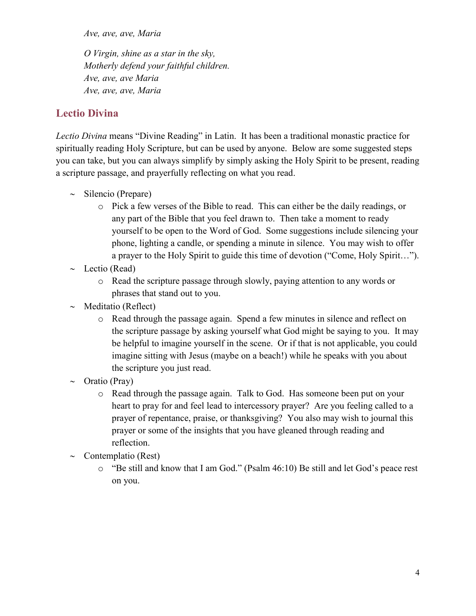*Ave, ave, ave, Maria*

*O Virgin, shine as a star in the sky, Motherly defend your faithful children. Ave, ave, ave Maria Ave, ave, ave, Maria*

### **Lectio Divina**

*Lectio Divina* means "Divine Reading" in Latin. It has been a traditional monastic practice for spiritually reading Holy Scripture, but can be used by anyone. Below are some suggested steps you can take, but you can always simplify by simply asking the Holy Spirit to be present, reading a scripture passage, and prayerfully reflecting on what you read.

- ∼ Silencio (Prepare)
	- o Pick a few verses of the Bible to read. This can either be the daily readings, or any part of the Bible that you feel drawn to. Then take a moment to ready yourself to be open to the Word of God. Some suggestions include silencing your phone, lighting a candle, or spending a minute in silence. You may wish to offer a prayer to the Holy Spirit to guide this time of devotion ("Come, Holy Spirit…").
- ∼ Lectio (Read)
	- o Read the scripture passage through slowly, paying attention to any words or phrases that stand out to you.
- ∼ Meditatio (Reflect)
	- o Read through the passage again. Spend a few minutes in silence and reflect on the scripture passage by asking yourself what God might be saying to you. It may be helpful to imagine yourself in the scene. Or if that is not applicable, you could imagine sitting with Jesus (maybe on a beach!) while he speaks with you about the scripture you just read.
- ∼ Oratio (Pray)
	- o Read through the passage again. Talk to God. Has someone been put on your heart to pray for and feel lead to intercessory prayer? Are you feeling called to a prayer of repentance, praise, or thanksgiving? You also may wish to journal this prayer or some of the insights that you have gleaned through reading and reflection.
- ∼ Contemplatio (Rest)
	- o "Be still and know that I am God." (Psalm 46:10) Be still and let God's peace rest on you.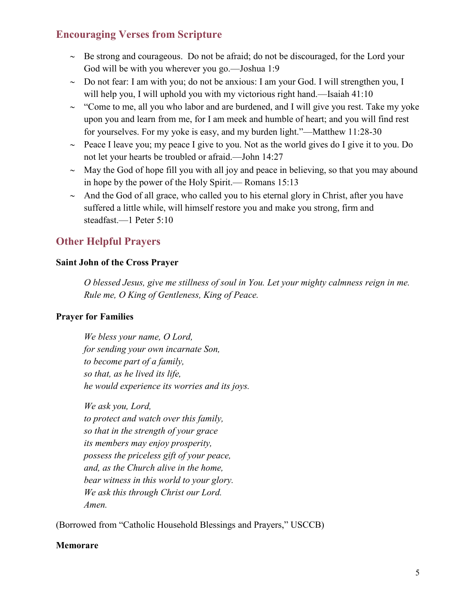### **Encouraging Verses from Scripture**

- ∼ Be strong and courageous. Do not be afraid; do not be discouraged, for the Lord your God will be with you wherever you go.—Joshua 1:9
- ∼ Do not fear: I am with you; do not be anxious: I am your God. I will strengthen you, I will help you, I will uphold you with my victorious right hand.—Isaiah 41:10
- ∼ "Come to me, all you who labor and are burdened, and I will give you rest. Take my yoke upon you and learn from me, for I am meek and humble of heart; and you will find rest for yourselves. For my yoke is easy, and my burden light."—Matthew 11:28-30
- ∼ Peace I leave you; my peace I give to you. Not as the world gives do I give it to you. Do not let your hearts be troubled or afraid.—John 14:27
- ∼ May the God of hope fill you with all joy and peace in believing, so that you may abound in hope by the power of the Holy Spirit.— Romans 15:13
- ∼ And the God of all grace, who called you to his eternal glory in Christ, after you have suffered a little while, will himself restore you and make you strong, firm and steadfast.—1 Peter 5:10

### **Other Helpful Prayers**

#### **Saint John of the Cross Prayer**

*O blessed Jesus, give me stillness of soul in You. Let your mighty calmness reign in me. Rule me, O King of Gentleness, King of Peace.*

### **Prayer for Families**

*We bless your name, O Lord, for sending your own incarnate Son, to become part of a family, so that, as he lived its life, he would experience its worries and its joys.*

*We ask you, Lord, to protect and watch over this family, so that in the strength of your grace its members may enjoy prosperity, possess the priceless gift of your peace, and, as the Church alive in the home, bear witness in this world to your glory. We ask this through Christ our Lord. Amen.*

(Borrowed from "Catholic Household Blessings and Prayers," USCCB)

#### **Memorare**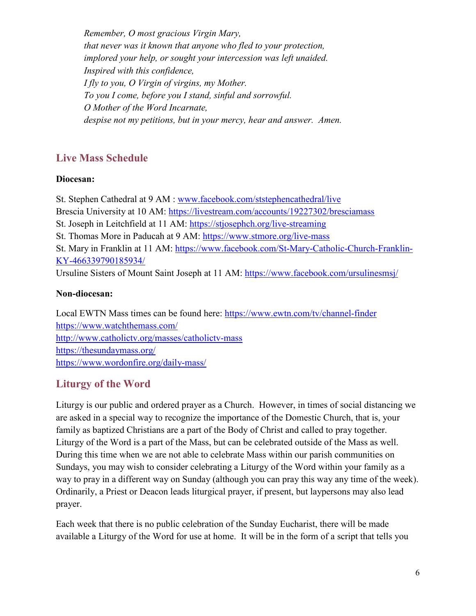*Remember, O most gracious Virgin Mary, that never was it known that anyone who fled to your protection, implored your help, or sought your intercession was left unaided. Inspired with this confidence, I fly to you, O Virgin of virgins, my Mother. To you I come, before you I stand, sinful and sorrowful. O Mother of the Word Incarnate, despise not my petitions, but in your mercy, hear and answer. Amen.*

### **Live Mass Schedule**

#### **Diocesan:**

St. Stephen Cathedral at 9 AM : [www.facebook.com/ststephencathedral/live](https://www.facebook.com/ststephencathedral/live?__xts__%5B0%5D=68.ARDcsgkt3BXkAKn6dAIA3nbOpu3Hf_3UNhrSG9Z1KVV4FjQgVztafrkyiv0_zFnG8YYDQxYO8BGB2a9RYn51AAzVn13rVZP9W7lYCDfg34hZgIx-Chf8WXvNmSBvqiWQtICRCm_tphVuqJE-XJLAArKJDvm_yzvoycX_xr91Wx2lxvepCSXqpfT1sWzY5iZuG-WW8sdXOvYdu3E1fO07WYj5athO7IuA--K5TLJGAQz8as5JCRiBqrfYMQTGz6i7boEZVuXrS_CdwvrpWQweE50QfyTZVEVbkRqmq1n017JaziAfOmbrsXmkVEaLJ9K3m5db09MZaqdjir0GMk044uDWZg&__tn__=-UK-R) Brescia University at 10 AM: <https://livestream.com/accounts/19227302/bresciamass> St. Joseph in Leitchfield at 11 AM: <https://stjosephch.org/live-streaming> St. Thomas More in Paducah at 9 AM: <https://www.stmore.org/live-mass> St. Mary in Franklin at 11 AM: [https://www.facebook.com/St-Mary-Catholic-Church-Franklin-](https://www.facebook.com/St-Mary-Catholic-Church-Franklin-KY-466339790185934/)[KY-466339790185934/](https://www.facebook.com/St-Mary-Catholic-Church-Franklin-KY-466339790185934/) Ursuline Sisters of Mount Saint Joseph at 11 AM: <https://www.facebook.com/ursulinesmsj/>

#### **Non-diocesan:**

Local EWTN Mass times can be found here:<https://www.ewtn.com/tv/channel-finder> <https://www.watchthemass.com/> <http://www.catholictv.org/masses/catholictv-mass> <https://thesundaymass.org/> <https://www.wordonfire.org/daily-mass/>

## **Liturgy of the Word**

Liturgy is our public and ordered prayer as a Church. However, in times of social distancing we are asked in a special way to recognize the importance of the Domestic Church, that is, your family as baptized Christians are a part of the Body of Christ and called to pray together. Liturgy of the Word is a part of the Mass, but can be celebrated outside of the Mass as well. During this time when we are not able to celebrate Mass within our parish communities on Sundays, you may wish to consider celebrating a Liturgy of the Word within your family as a way to pray in a different way on Sunday (although you can pray this way any time of the week). Ordinarily, a Priest or Deacon leads liturgical prayer, if present, but laypersons may also lead prayer.

Each week that there is no public celebration of the Sunday Eucharist, there will be made available a Liturgy of the Word for use at home. It will be in the form of a script that tells you